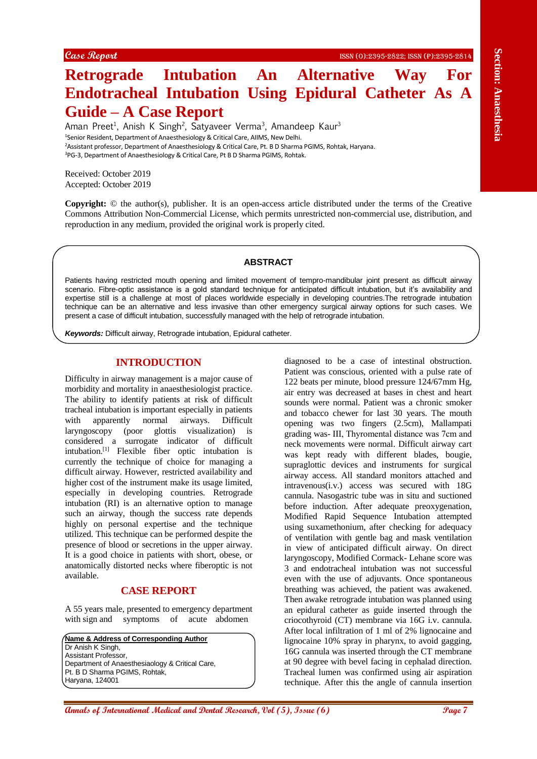# **Retrograde Intubation An Alternative Way For Endotracheal Intubation Using Epidural Catheter As A Guide – A Case Report**

Aman Preet<sup>1</sup>, Anish K Singh<sup>2</sup>, Satyaveer Verma<sup>3</sup>, Amandeep Kaur<sup>3</sup> <sup>1</sup>Senior Resident, Department of Anaesthesiology & Critical Care, AIIMS, New Delhi. <sup>2</sup>Assistant professor, Department of Anaesthesiology & Critical Care, Pt. B D Sharma PGIMS, Rohtak, Haryana. <sup>3</sup>PG-3, Department of Anaesthesiology & Critical Care, Pt B D Sharma PGIMS, Rohtak.

Received: October 2019 Accepted: October 2019

**Copyright:** © the author(s), publisher. It is an open-access article distributed under the terms of the Creative Commons Attribution Non-Commercial License, which permits unrestricted non-commercial use, distribution, and reproduction in any medium, provided the original work is properly cited.

#### **ABSTRACT**

Patients having restricted mouth opening and limited movement of tempro-mandibular joint present as difficult airway scenario. Fibre-optic assistance is a gold standard technique for anticipated difficult intubation, but it's availability and expertise still is a challenge at most of places worldwide especially in developing countries.The retrograde intubation technique can be an alternative and less invasive than other emergency surgical airway options for such cases. We present a case of difficult intubation, successfully managed with the help of retrograde intubation.

*Keywords:* Difficult airway, Retrograde intubation, Epidural catheter.

## **INTRODUCTION**

Difficulty in airway management is a major cause of morbidity and mortality in anaesthesiologist practice. The ability to identify patients at risk of difficult tracheal intubation is important especially in patients with apparently normal airways. Difficult laryngoscopy (poor glottis visualization) is considered a surrogate indicator of difficult intubation. [1] Flexible fiber optic intubation is currently the technique of choice for managing a difficult airway. However, restricted availability and higher cost of the instrument make its usage limited, especially in developing countries. Retrograde intubation (RI) is an alternative option to manage such an airway, though the success rate depends highly on personal expertise and the technique utilized. This technique can be performed despite the presence of blood or secretions in the upper airway. It is a good choice in patients with short, obese, or anatomically distorted necks where fiberoptic is not available.

#### **CASE REPORT**

A 55 years male, presented to emergency department with sign and symptoms of acute abdomen

**Name & Address of Corresponding Author** Dr Anish K Singh, Assistant Professor, Department of Anaesthesiaology & Critical Care, Pt. B D Sharma PGIMS, Rohtak, Haryana, 124001

**Research Control is a control international Medical and The Control international Medical Ann and The Control international Medical Ann and The Control international Medical Ann and The Control international Medical Ann a** diagnosed to be a case of intestinal obstruction. Patient was conscious, oriented with a pulse rate of 122 beats per minute, blood pressure 124/67mm Hg, air entry was decreased at bases in chest and heart sounds were normal. Patient was a chronic smoker and tobacco chewer for last 30 years. The mouth opening was two fingers (2.5cm), Mallampati grading was- ΙΙΙ, Thyromental distance was 7cm and neck movements were normal. Difficult airway cart was kept ready with different blades, bougie, supraglottic devices and instruments for surgical airway access. All standard monitors attached and intravenous(i.v.) access was secured with 18G cannula. Nasogastric tube was in situ and suctioned before induction. After adequate preoxygenation, Modified Rapid Sequence Intubation attempted using suxamethonium, after checking for adequacy of ventilation with gentle bag and mask ventilation in view of anticipated difficult airway. On direct laryngoscopy, Modified Cormack- Lehane score was 3 and endotracheal intubation was not successful even with the use of adjuvants. Once spontaneous breathing was achieved, the patient was awakened. Then awake retrograde intubation was planned using an epidural catheter as guide inserted through the criocothyroid (CT) membrane via 16G i.v. cannula. After local infiltration of 1 ml of 2% lignocaine and lignocaine 10% spray in pharynx, to avoid gagging, 16G cannula was inserted through the CT membrane at 90 degree with bevel facing in cephalad direction. Tracheal lumen was confirmed using air aspiration technique. After this the angle of cannula insertion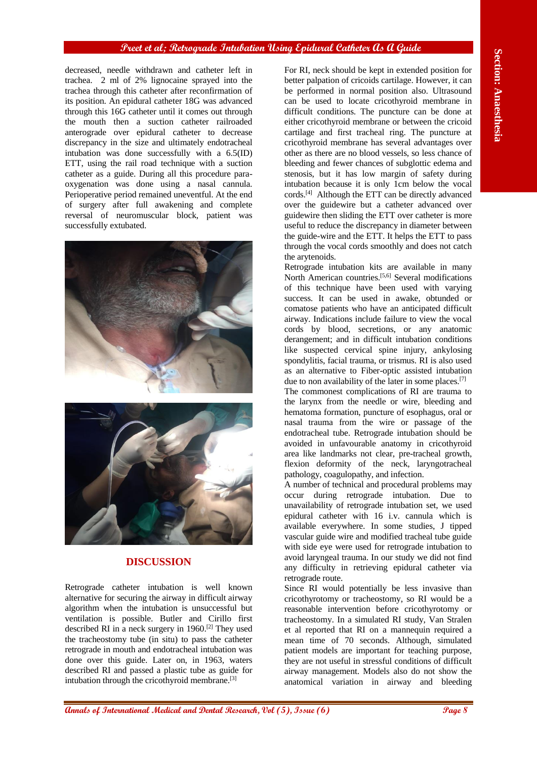#### **Preet et al; Retrograde Intubation Using Epidural Catheter As A Guide**

decreased, needle withdrawn and catheter left in trachea. 2 ml of 2% lignocaine sprayed into the trachea through this catheter after reconfirmation of its position. An epidural catheter 18G was advanced through this 16G catheter until it comes out through the mouth then a suction catheter railroaded anterograde over epidural catheter to decrease discrepancy in the size and ultimately endotracheal intubation was done successfully with a 6.5(ID) ETT, using the rail road technique with a suction catheter as a guide. During all this procedure paraoxygenation was done using a nasal cannula. Perioperative period remained uneventful. At the end of surgery after full awakening and complete reversal of neuromuscular block, patient was successfully extubated.





## **DISCUSSION**

Retrograde catheter intubation is well known alternative for securing the airway in difficult airway algorithm when the intubation is unsuccessful but ventilation is possible. Butler and Cirillo first described RI in a neck surgery in 1960. [2] They used the tracheostomy tube (in situ) to pass the catheter retrograde in mouth and endotracheal intubation was done over this guide. Later on, in 1963, waters described RI and passed a plastic tube as guide for intubation through the cricothyroid membrane. [3]

Annual of The Termin is the Company of Company of Company of Company of The Company of Terminal Section 2.1 **Analyzing the Company of Terminal Section 2.1** And Dental Research (*Section 2.1* and Dental Research (*Section* For RI, neck should be kept in extended position for better palpation of cricoids cartilage. However, it can be performed in normal position also. Ultrasound can be used to locate cricothyroid membrane in difficult conditions. The puncture can be done at either cricothyroid membrane or between the cricoid cartilage and first tracheal ring. The puncture at cricothyroid membrane has several advantages over other as there are no blood vessels, so less chance of bleeding and fewer chances of subglottic edema and stenosis, but it has low margin of safety during intubation because it is only 1cm below the vocal cords. [4] Although the ETT can be directly advanced over the guidewire but a catheter advanced over guidewire then sliding the ETT over catheter is more useful to reduce the discrepancy in diameter between the guide-wire and the ETT. It helps the ETT to pass through the vocal cords smoothly and does not catch the arytenoids.

Retrograde intubation kits are available in many North American countries.<sup>[5,6]</sup> Several modifications of this technique have been used with varying success. It can be used in awake, obtunded or comatose patients who have an anticipated difficult airway. Indications include failure to view the vocal cords by blood, secretions, or any anatomic derangement; and in difficult intubation conditions like suspected cervical spine injury, ankylosing spondylitis, facial trauma, or trismus. RI is also used as an alternative to Fiber-optic assisted intubation due to non availability of the later in some places.<sup>[7]</sup>

The commonest complications of RI are trauma to the larynx from the needle or wire, bleeding and hematoma formation, puncture of esophagus, oral or nasal trauma from the wire or passage of the endotracheal tube. Retrograde intubation should be avoided in unfavourable anatomy in cricothyroid area like landmarks not clear, pre-tracheal growth, flexion deformity of the neck, laryngotracheal pathology, coagulopathy, and infection.

A number of technical and procedural problems may occur during retrograde intubation. Due to unavailability of retrograde intubation set, we used epidural catheter with 16 i.v. cannula which is available everywhere. In some studies, J tipped vascular guide wire and modified tracheal tube guide with side eye were used for retrograde intubation to avoid laryngeal trauma. In our study we did not find any difficulty in retrieving epidural catheter via retrograde route.

Since RI would potentially be less invasive than cricothyrotomy or tracheostomy, so RI would be a reasonable intervention before cricothyrotomy or tracheostomy. In a simulated RI study, Van Stralen et al reported that RI on a mannequin required a mean time of 70 seconds. Although, simulated patient models are important for teaching purpose, they are not useful in stressful conditions of difficult airway management. Models also do not show the anatomical variation in airway and bleeding